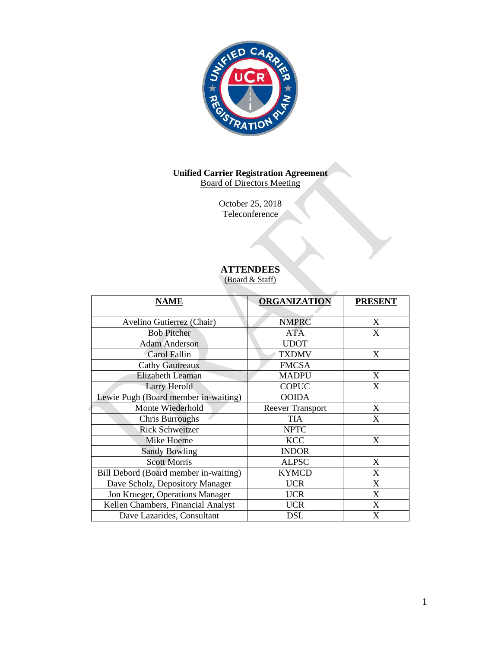

#### **Unified Carrier Registration Agreement** Board of Directors Meeting

October 25, 2018 Teleconference

# **ATTENDEES**

(Board & Staff)

| <b>NAME</b>                           | <b>ORGANIZATION</b>     | <b>PRESENT</b> |
|---------------------------------------|-------------------------|----------------|
| Avelino Gutierrez (Chair)             | <b>NMPRC</b>            | X              |
| <b>Bob Pitcher</b>                    | <b>ATA</b>              | X              |
| <b>Adam Anderson</b>                  | <b>UDOT</b>             |                |
| Carol Fallin                          | <b>TXDMV</b>            | X              |
| <b>Cathy Gautreaux</b>                | <b>FMCSA</b>            |                |
| <b>Elizabeth Leaman</b>               | <b>MADPU</b>            | X              |
| Larry Herold                          | <b>COPUC</b>            | X              |
| Lewie Pugh (Board member in-waiting)  | <b>OOIDA</b>            |                |
| Monte Wiederhold                      | <b>Reever Transport</b> | X              |
| Chris Burroughs                       | <b>TIA</b>              | X              |
| <b>Rick Schweitzer</b>                | <b>NPTC</b>             |                |
| Mike Hoeme                            | <b>KCC</b>              | X              |
| <b>Sandy Bowling</b>                  | <b>INDOR</b>            |                |
| <b>Scott Morris</b>                   | <b>ALPSC</b>            | X              |
| Bill Debord (Board member in-waiting) | <b>KYMCD</b>            | X              |
| Dave Scholz, Depository Manager       | <b>UCR</b>              | X              |
| Jon Krueger, Operations Manager       | <b>UCR</b>              | X              |
| Kellen Chambers, Financial Analyst    | <b>UCR</b>              | X              |
| Dave Lazarides, Consultant            | <b>DSL</b>              | X              |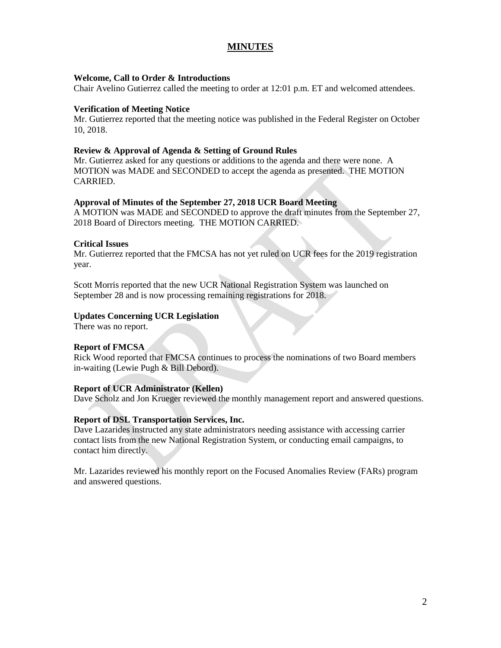## **MINUTES**

#### **Welcome, Call to Order & Introductions**

Chair Avelino Gutierrez called the meeting to order at 12:01 p.m. ET and welcomed attendees.

#### **Verification of Meeting Notice**

Mr. Gutierrez reported that the meeting notice was published in the Federal Register on October 10, 2018.

#### **Review & Approval of Agenda & Setting of Ground Rules**

Mr. Gutierrez asked for any questions or additions to the agenda and there were none. A MOTION was MADE and SECONDED to accept the agenda as presented. THE MOTION CARRIED.

### **Approval of Minutes of the September 27, 2018 UCR Board Meeting**

A MOTION was MADE and SECONDED to approve the draft minutes from the September 27, 2018 Board of Directors meeting. THE MOTION CARRIED.

#### **Critical Issues**

Mr. Gutierrez reported that the FMCSA has not yet ruled on UCR fees for the 2019 registration year.

Scott Morris reported that the new UCR National Registration System was launched on September 28 and is now processing remaining registrations for 2018.

#### **Updates Concerning UCR Legislation**

There was no report.

#### **Report of FMCSA**

Rick Wood reported that FMCSA continues to process the nominations of two Board members in-waiting (Lewie Pugh & Bill Debord).

### **Report of UCR Administrator (Kellen)**

Dave Scholz and Jon Krueger reviewed the monthly management report and answered questions.

### **Report of DSL Transportation Services, Inc.**

Dave Lazarides instructed any state administrators needing assistance with accessing carrier contact lists from the new National Registration System, or conducting email campaigns, to contact him directly.

Mr. Lazarides reviewed his monthly report on the Focused Anomalies Review (FARs) program and answered questions.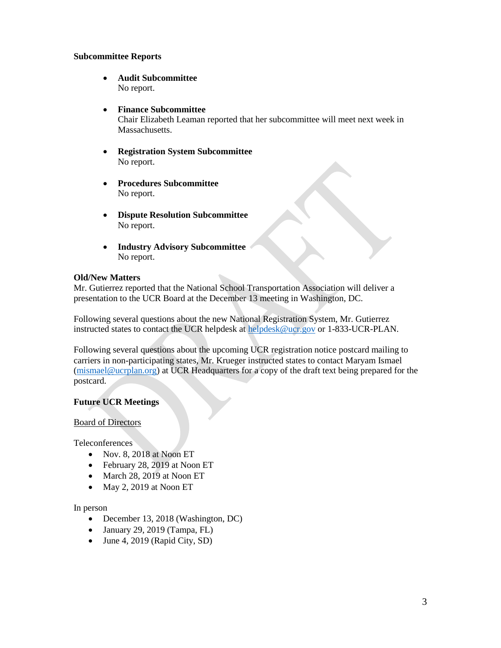### **Subcommittee Reports**

- **Audit Subcommittee** No report.
- **Finance Subcommittee**

Chair Elizabeth Leaman reported that her subcommittee will meet next week in Massachusetts.

- **Registration System Subcommittee** No report.
- **Procedures Subcommittee**  No report.
- **Dispute Resolution Subcommittee** No report.
- **Industry Advisory Subcommittee**  No report.

### **Old/New Matters**

Mr. Gutierrez reported that the National School Transportation Association will deliver a presentation to the UCR Board at the December 13 meeting in Washington, DC.

Following several questions about the new National Registration System, Mr. Gutierrez instructed states to contact the UCR helpdesk at [helpdesk@ucr.gov](mailto:helpdesk@ucr.gov) or 1-833-UCR-PLAN.

Following several questions about the upcoming UCR registration notice postcard mailing to carriers in non-participating states, Mr. Krueger instructed states to contact Maryam Ismael [\(mismael@ucrplan.org\)](mailto:mismael@ucrplan.org) at UCR Headquarters for a copy of the draft text being prepared for the postcard.

### **Future UCR Meetings**

### Board of Directors

Teleconferences

- Nov. 8, 2018 at Noon ET
- February 28, 2019 at Noon ET
- March 28, 2019 at Noon ET
- $\bullet$  May 2, 2019 at Noon ET

#### In person

- December 13, 2018 (Washington, DC)
- $\bullet$  January 29, 2019 (Tampa, FL)
- $\bullet$  June 4, 2019 (Rapid City, SD)